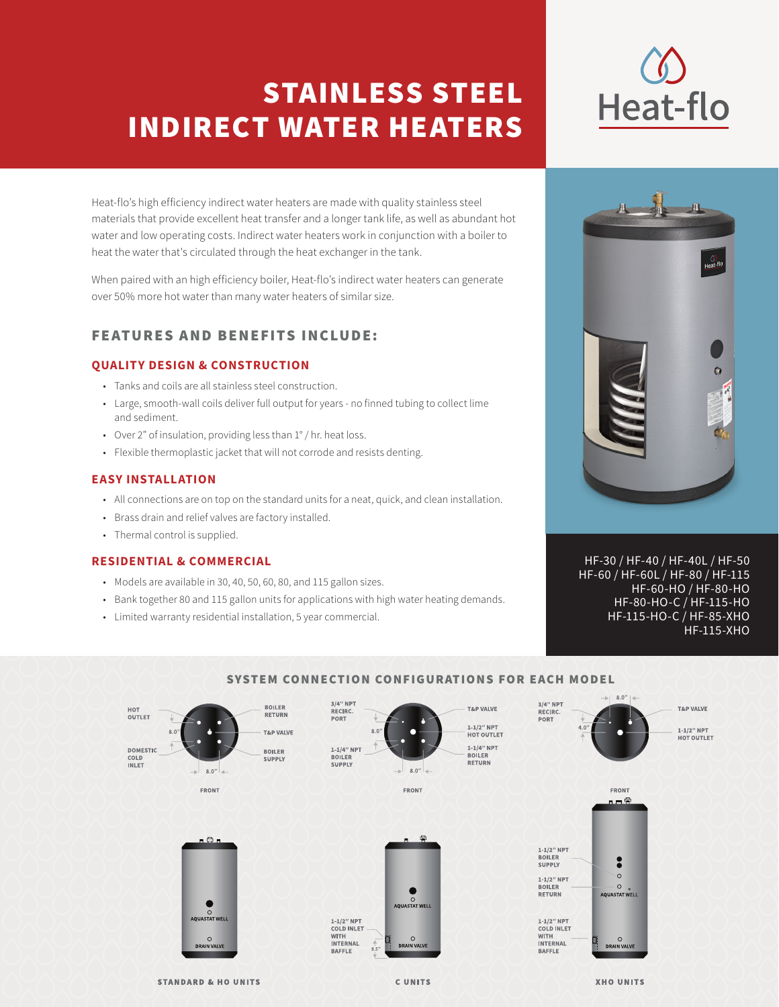# STAINLESS STEEL INDIRECT WATER HEATERS

Heat-flo's high efficiency indirect water heaters are made with quality stainless steel materials that provide excellent heat transfer and a longer tank life, as well as abundant hot water and low operating costs. Indirect water heaters work in conjunction with a boiler to heat the water that's circulated through the heat exchanger in the tank.

When paired with an high efficiency boiler, Heat-flo's indirect water heaters can generate over 50% more hot water than many water heaters of similar size.

# FEATURES AND BENEFITS INCLUDE:

## **QUALITY DESIGN & CONSTRUCTION**

- Tanks and coils are all stainless steel construction.
- Large, smooth-wall coils deliver full output for years no finned tubing to collect lime and sediment.
- Over 2" of insulation, providing less than 1° / hr. heat loss.
- Flexible thermoplastic jacket that will not corrode and resists denting.

### **EASY INSTALLATION**

- All connections are on top on the standard units for a neat, quick, and clean installation.
- Brass drain and relief valves are factory installed.
- Thermal control is supplied.

### **RESIDENTIAL & COMMERCIAL**

- Models are available in 30, 40, 50, 60, 80, and 115 gallon sizes.
- Bank together 80 and 115 gallon units for applications with high water heating demands.
- Limited warranty residential installation, 5 year commercial.



HF-30 / HF-40 / HF-40L / HF-50 HF-60 / HF-60L / HF-80 / HF-115 HF-60-HO / HF-80-HO HF-80-HO-C / HF-115-HO HF-115-HO-C / HF-85-XHO HF-115-XHO



## SYSTEM CONNECTION CONFIGURATIONS FOR EACH MODEL

**STANDARD & HO UNITS** 

**CUNITS** 

**XHO UNITS**